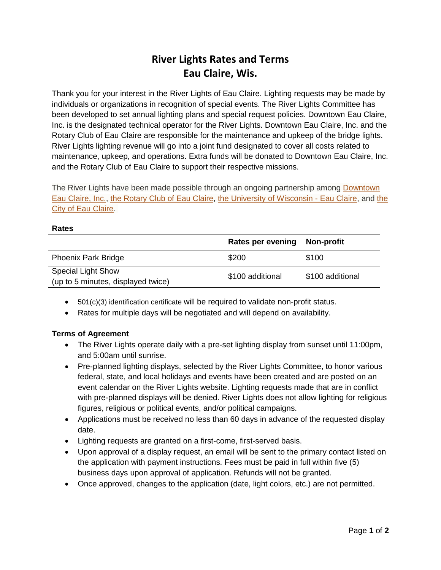# **River Lights Rates and Terms Eau Claire, Wis.**

Thank you for your interest in the River Lights of Eau Claire. Lighting requests may be made by individuals or organizations in recognition of special events. The River Lights Committee has been developed to set annual lighting plans and special request policies. Downtown Eau Claire, Inc. is the designated technical operator for the River Lights. Downtown Eau Claire, Inc. and the Rotary Club of Eau Claire are responsible for the maintenance and upkeep of the bridge lights. River Lights lighting revenue will go into a joint fund designated to cover all costs related to maintenance, upkeep, and operations. Extra funds will be donated to Downtown Eau Claire, Inc. and the Rotary Club of Eau Claire to support their respective missions.

The River Lights have been made possible through an ongoing partnership among **Downtown** [Eau Claire, Inc.,](http://www.downtowneauclaire.org/) [the Rotary Club of Eau Claire,](http://www.eauclairerotary.org/) [the University of Wisconsin -](http://www.uwec.edu/) Eau Claire, and [the](http://www.ci.eau-claire.wi.us/)  [City of Eau Claire.](http://www.ci.eau-claire.wi.us/)

#### **Rates**

|                                                                 | <b>Rates per evening</b> | Non-profit       |
|-----------------------------------------------------------------|--------------------------|------------------|
| <b>Phoenix Park Bridge</b>                                      | \$200                    | \$100            |
| <b>Special Light Show</b><br>(up to 5 minutes, displayed twice) | \$100 additional         | \$100 additional |

- 501(c)(3) identification certificate will be required to validate non-profit status.
- Rates for multiple days will be negotiated and will depend on availability.

### **Terms of Agreement**

- The River Lights operate daily with a pre-set lighting display from sunset until 11:00pm, and 5:00am until sunrise.
- Pre-planned lighting displays, selected by the River Lights Committee, to honor various federal, state, and local holidays and events have been created and are posted on an event calendar on the River Lights website. Lighting requests made that are in conflict with pre-planned displays will be denied. River Lights does not allow lighting for religious figures, religious or political events, and/or political campaigns.
- Applications must be received no less than 60 days in advance of the requested display date.
- Lighting requests are granted on a first-come, first-served basis.
- Upon approval of a display request, an email will be sent to the primary contact listed on the application with payment instructions. Fees must be paid in full within five (5) business days upon approval of application. Refunds will not be granted.
- Once approved, changes to the application (date, light colors, etc.) are not permitted.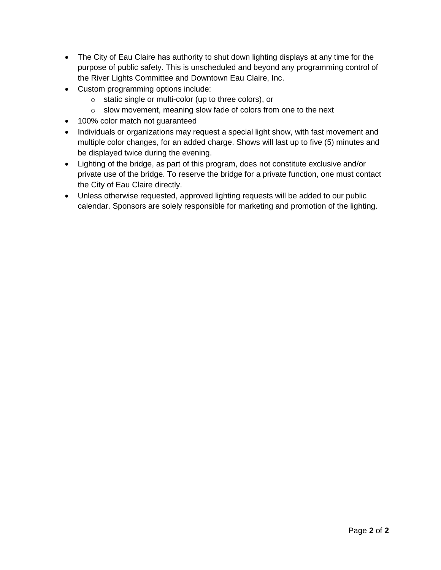- The City of Eau Claire has authority to shut down lighting displays at any time for the purpose of public safety. This is unscheduled and beyond any programming control of the River Lights Committee and Downtown Eau Claire, Inc.
- Custom programming options include:
	- o static single or multi-color (up to three colors), or
	- o slow movement, meaning slow fade of colors from one to the next
- 100% color match not guaranteed
- Individuals or organizations may request a special light show, with fast movement and multiple color changes, for an added charge. Shows will last up to five (5) minutes and be displayed twice during the evening.
- Lighting of the bridge, as part of this program, does not constitute exclusive and/or private use of the bridge. To reserve the bridge for a private function, one must contact the City of Eau Claire directly.
- Unless otherwise requested, approved lighting requests will be added to our public calendar. Sponsors are solely responsible for marketing and promotion of the lighting.